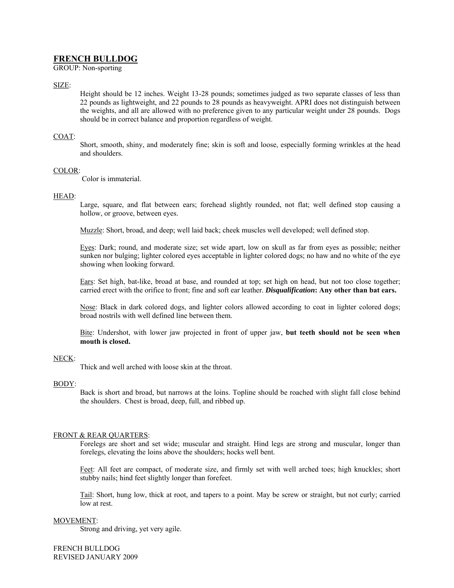# **FRENCH BULLDOG**

GROUP: Non-sporting

## SIZE:

Height should be 12 inches. Weight 13-28 pounds; sometimes judged as two separate classes of less than 22 pounds as lightweight, and 22 pounds to 28 pounds as heavyweight. APRI does not distinguish between the weights, and all are allowed with no preference given to any particular weight under 28 pounds. Dogs should be in correct balance and proportion regardless of weight.

## COAT:

Short, smooth, shiny, and moderately fine; skin is soft and loose, especially forming wrinkles at the head and shoulders.

#### COLOR:

Color is immaterial.

#### HEAD:

Large, square, and flat between ears; forehead slightly rounded, not flat; well defined stop causing a hollow, or groove, between eyes.

Muzzle: Short, broad, and deep; well laid back; cheek muscles well developed; well defined stop.

Eyes: Dark; round, and moderate size; set wide apart, low on skull as far from eyes as possible; neither sunken nor bulging; lighter colored eyes acceptable in lighter colored dogs; no haw and no white of the eye showing when looking forward.

Ears: Set high, bat-like, broad at base, and rounded at top; set high on head, but not too close together; carried erect with the orifice to front; fine and soft ear leather. *Disqualification***: Any other than bat ears.** 

Nose: Black in dark colored dogs, and lighter colors allowed according to coat in lighter colored dogs; broad nostrils with well defined line between them.

Bite: Undershot, with lower jaw projected in front of upper jaw, **but teeth should not be seen when mouth is closed.** 

#### NECK:

Thick and well arched with loose skin at the throat.

#### BODY:

Back is short and broad, but narrows at the loins. Topline should be roached with slight fall close behind the shoulders. Chest is broad, deep, full, and ribbed up.

#### FRONT & REAR QUARTERS:

Forelegs are short and set wide; muscular and straight. Hind legs are strong and muscular, longer than forelegs, elevating the loins above the shoulders; hocks well bent.

Feet: All feet are compact, of moderate size, and firmly set with well arched toes; high knuckles; short stubby nails; hind feet slightly longer than forefeet.

Tail: Short, hung low, thick at root, and tapers to a point. May be screw or straight, but not curly; carried low at rest.

#### MOVEMENT:

Strong and driving, yet very agile.

FRENCH BULLDOG REVISED JANUARY 2009